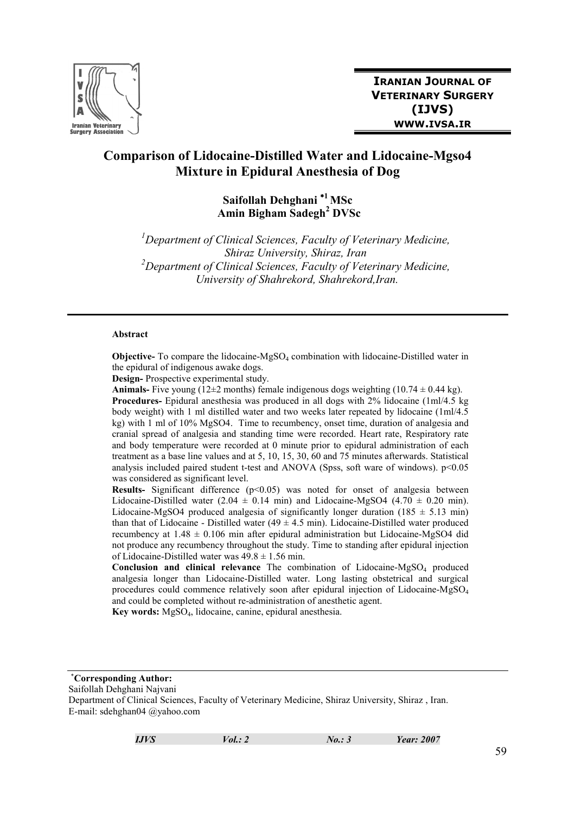

## Comparison of Lidocaine-Distilled Water and Lidocaine-Mgso4 Mixture in Epidural Anesthesia of Dog

## Saifollah Dehghani<sup>\*1</sup>MSc Amin Bigham Sadegh<sup>2</sup> DVSc

 ${}^{1}$ Department of Clinical Sciences, Faculty of Veterinary Medicine, Shiraz University, Shiraz, Iran  $2$ Department of Clinical Sciences, Faculty of Veterinary Medicine, University of Shahrekord, Shahrekord,Iran.

#### Abstract

**Objective-** To compare the lidocaine- $MgSO<sub>4</sub>$  combination with lidocaine-Distilled water in the epidural of indigenous awake dogs.

Design- Prospective experimental study.

**Animals-** Five young (12 $\pm$ 2 months) female indigenous dogs weighting (10.74  $\pm$  0.44 kg). Procedures- Epidural anesthesia was produced in all dogs with 2% lidocaine (1ml/4.5 kg body weight) with 1 ml distilled water and two weeks later repeated by lidocaine (1ml/4.5 kg) with 1 ml of 10% MgSO4. Time to recumbency, onset time, duration of analgesia and cranial spread of analgesia and standing time were recorded. Heart rate, Respiratory rate and body temperature were recorded at 0 minute prior to epidural administration of each treatment as a base line values and at 5, 10, 15, 30, 60 and 75 minutes afterwards. Statistical analysis included paired student t-test and ANOVA (Spss, soft ware of windows).  $p<0.05$ was considered as significant level.

**Results-** Significant difference  $(p<0.05)$  was noted for onset of analgesia between Lidocaine-Distilled water (2.04  $\pm$  0.14 min) and Lidocaine-MgSO4 (4.70  $\pm$  0.20 min). Lidocaine-MgSO4 produced analgesia of significantly longer duration (185  $\pm$  5.13 min) than that of Lidocaine - Distilled water  $(49 \pm 4.5 \text{ min})$ . Lidocaine-Distilled water produced recumbency at  $1.48 \pm 0.106$  min after epidural administration but Lidocaine-MgSO4 did not produce any recumbency throughout the study. Time to standing after epidural injection of Lidocaine-Distilled water was  $49.8 \pm 1.56$  min.

**Conclusion and clinical relevance** The combination of Lidocaine-MgSO<sub>4</sub> produced analgesia longer than Lidocaine-Distilled water. Long lasting obstetrical and surgical procedures could commence relatively soon after epidural injection of Lidocaine-MgSO<sub>4</sub> and could be completed without re-administration of anesthetic agent.

Key words: MgSO4, lidocaine, canine, epidural anesthesia.

<sup>∗</sup>Corresponding Author:

Saifollah Dehghani Najvani

Department of Clinical Sciences, Faculty of Veterinary Medicine, Shiraz University, Shiraz , Iran. E-mail: sdehghan04 @yahoo.com

**IJVS**  $Vol.: 2$   $No.: 3$  Year: 2007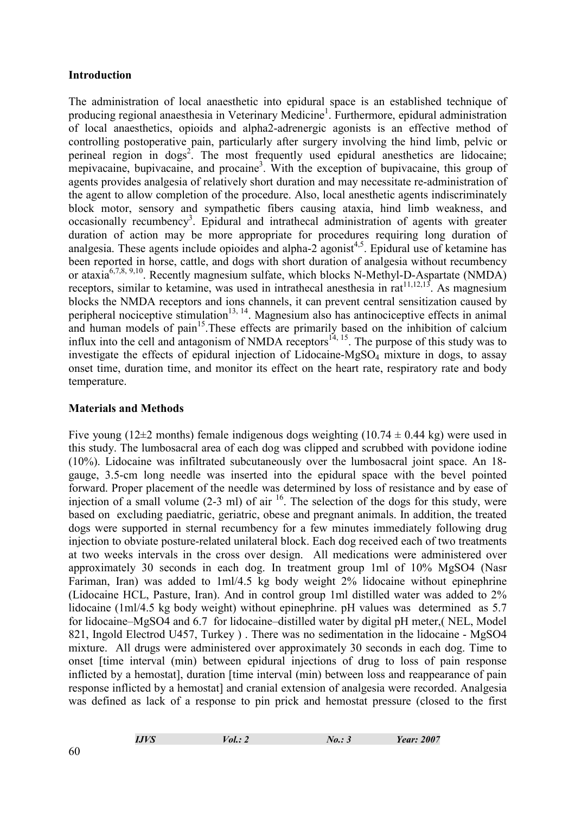### Introduction

The administration of local anaesthetic into epidural space is an established technique of producing regional anaesthesia in Veterinary Medicine<sup>1</sup>. Furthermore, epidural administration of local anaesthetics, opioids and alpha2-adrenergic agonists is an effective method of controlling postoperative pain, particularly after surgery involving the hind limb, pelvic or perineal region in dogs<sup>2</sup>. The most frequently used epidural anesthetics are lidocaine; mepivacaine, bupivacaine, and procaine<sup>3</sup>. With the exception of bupivacaine, this group of agents provides analgesia of relatively short duration and may necessitate re-administration of the agent to allow completion of the procedure. Also, local anesthetic agents indiscriminately block motor, sensory and sympathetic fibers causing ataxia, hind limb weakness, and occasionally recumbency<sup>3</sup>. Epidural and intrathecal administration of agents with greater duration of action may be more appropriate for procedures requiring long duration of analgesia. These agents include opioides and alpha-2 agonist<sup>4,5</sup>. Epidural use of ketamine has been reported in horse, cattle, and dogs with short duration of analgesia without recumbency or ataxia<sup>6,7,8, 9,10</sup>. Recently magnesium sulfate, which blocks N-Methyl-D-Aspartate (NMDA) receptors, similar to ketamine, was used in intrathecal anesthesia in rat $^{11,12,13}$ . As magnesium blocks the NMDA receptors and ions channels, it can prevent central sensitization caused by peripheral nociceptive stimulation<sup>13, 14</sup>. Magnesium also has antinociceptive effects in animal and human models of pain<sup>15</sup>. These effects are primarily based on the inhibition of calcium influx into the cell and antagonism of NMDA receptors<sup> $14, 15$ </sup>. The purpose of this study was to investigate the effects of epidural injection of Lidocaine-MgSO<sub>4</sub> mixture in dogs, to assay onset time, duration time, and monitor its effect on the heart rate, respiratory rate and body temperature.

### Materials and Methods

Five young (12 $\pm$ 2 months) female indigenous dogs weighting (10.74  $\pm$  0.44 kg) were used in this study. The lumbosacral area of each dog was clipped and scrubbed with povidone iodine (10%). Lidocaine was infiltrated subcutaneously over the lumbosacral joint space. An 18 gauge, 3.5-cm long needle was inserted into the epidural space with the bevel pointed forward. Proper placement of the needle was determined by loss of resistance and by ease of injection of a small volume  $(2-3 \text{ ml})$  of air  $16$ . The selection of the dogs for this study, were based on excluding paediatric, geriatric, obese and pregnant animals. In addition, the treated dogs were supported in sternal recumbency for a few minutes immediately following drug injection to obviate posture-related unilateral block. Each dog received each of two treatments at two weeks intervals in the cross over design. All medications were administered over approximately 30 seconds in each dog. In treatment group 1ml of 10% MgSO4 (Nasr Fariman, Iran) was added to 1ml/4.5 kg body weight 2% lidocaine without epinephrine (Lidocaine HCL, Pasture, Iran). And in control group 1ml distilled water was added to 2% lidocaine (1ml/4.5 kg body weight) without epinephrine. pH values was determined as 5.7 for lidocaine–MgSO4 and 6.7 for lidocaine–distilled water by digital pH meter,( NEL, Model 821, Ingold Electrod U457, Turkey ) . There was no sedimentation in the lidocaine - MgSO4 mixture. All drugs were administered over approximately 30 seconds in each dog. Time to onset [time interval (min) between epidural injections of drug to loss of pain response inflicted by a hemostat], duration [time interval (min) between loss and reappearance of pain response inflicted by a hemostatl and cranial extension of analgesia were recorded. Analgesia was defined as lack of a response to pin prick and hemostat pressure (closed to the first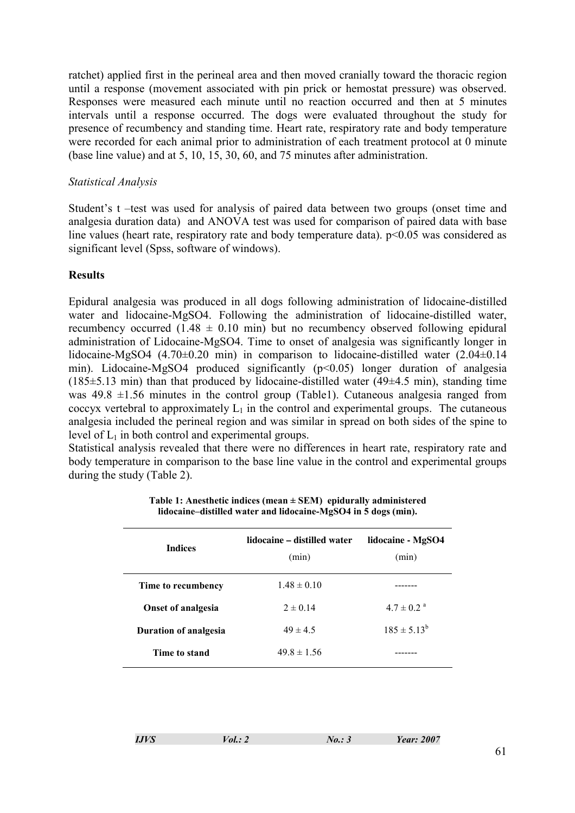ratchet) applied first in the perineal area and then moved cranially toward the thoracic region until a response (movement associated with pin prick or hemostat pressure) was observed. Responses were measured each minute until no reaction occurred and then at 5 minutes intervals until a response occurred. The dogs were evaluated throughout the study for presence of recumbency and standing time. Heart rate, respiratory rate and body temperature were recorded for each animal prior to administration of each treatment protocol at 0 minute (base line value) and at 5, 10, 15, 30, 60, and 75 minutes after administration.

#### Statistical Analysis

Student's t –test was used for analysis of paired data between two groups (onset time and analgesia duration data) and ANOVA test was used for comparison of paired data with base line values (heart rate, respiratory rate and body temperature data).  $p \le 0.05$  was considered as significant level (Spss, software of windows).

#### **Results**

Epidural analgesia was produced in all dogs following administration of lidocaine-distilled water and lidocaine-MgSO4. Following the administration of lidocaine-distilled water, recumbency occurred  $(1.48 \pm 0.10 \text{ min})$  but no recumbency observed following epidural administration of Lidocaine-MgSO4. Time to onset of analgesia was significantly longer in lidocaine-MgSO4 (4.70±0.20 min) in comparison to lidocaine-distilled water (2.04±0.14 min). Lidocaine-MgSO4 produced significantly (p<0.05) longer duration of analgesia  $(185\pm5.13 \text{ min})$  than that produced by lidocaine-distilled water  $(49\pm4.5 \text{ min})$ , standing time was  $49.8 \pm 1.56$  minutes in the control group (Table1). Cutaneous analgesia ranged from coccyx vertebral to approximately  $L_1$  in the control and experimental groups. The cutaneous analgesia included the perineal region and was similar in spread on both sides of the spine to level of  $L_1$  in both control and experimental groups.

Statistical analysis revealed that there were no differences in heart rate, respiratory rate and body temperature in comparison to the base line value in the control and experimental groups during the study (Table 2).

| <b>Indices</b>               | lidocaine – distilled water<br>(min) | lidocaine - MgSO4<br>(min) |  |
|------------------------------|--------------------------------------|----------------------------|--|
| Time to recumbency           | $1.48 \pm 0.10$                      |                            |  |
| <b>Onset of analgesia</b>    | $2 \pm 0.14$                         | $47 \pm 0.2$ <sup>a</sup>  |  |
| <b>Duration of analgesia</b> | $49 \pm 4.5$                         | $185 \pm 5.13^b$           |  |
| Time to stand                | $49.8 \pm 1.56$                      |                            |  |

Table 1: Anesthetic indices (mean  $\pm$  SEM) epidurally administered lidocaine–distilled water and lidocaine-MgSO4 in 5 dogs (min).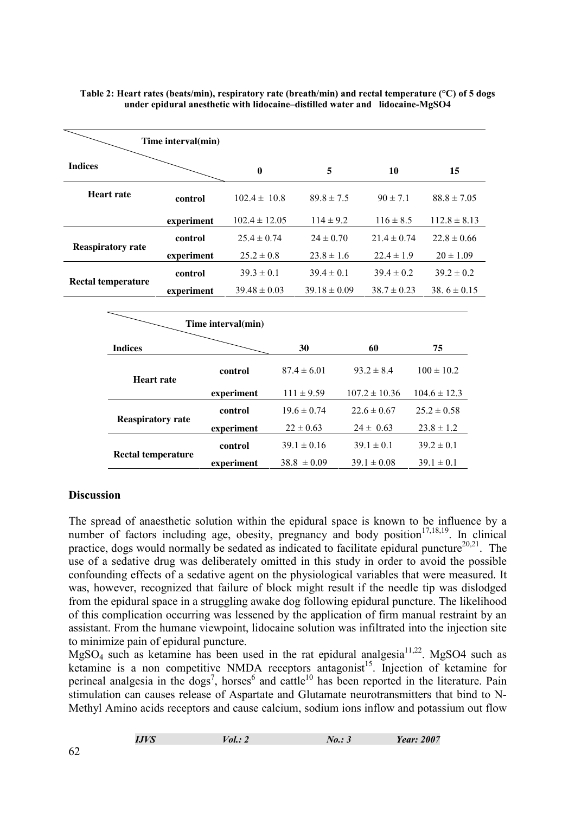| Time interval(min)        |                          |            |                   |                 |                  |                   |                  |  |
|---------------------------|--------------------------|------------|-------------------|-----------------|------------------|-------------------|------------------|--|
| <b>Indices</b>            |                          |            | $\bf{0}$          |                 | 5                | 10                | 15               |  |
| <b>Heart rate</b>         |                          | control    | $102.4 \pm 10.8$  |                 | $89.8 \pm 7.5$   | $90 \pm 7.1$      | $88.8 \pm 7.05$  |  |
|                           |                          | experiment | $102.4 \pm 12.05$ |                 | $114 \pm 9.2$    | $116 \pm 8.5$     | $112.8 \pm 8.13$ |  |
|                           |                          | control    | $25.4 \pm 0.74$   |                 | $24 \pm 0.70$    | $21.4 \pm 0.74$   | $22.8 \pm 0.66$  |  |
| <b>Reaspiratory rate</b>  |                          | experiment | $25.2 \pm 0.8$    |                 | $23.8 \pm 1.6$   | $22.4 \pm 1.9$    | $20 \pm 1.09$    |  |
| <b>Rectal temperature</b> |                          | control    | $39.3 \pm 0.1$    |                 | $39.4 \pm 0.1$   | $39.4 \pm 0.2$    | $39.2 \pm 0.2$   |  |
|                           |                          | experiment | $39.48 \pm 0.03$  |                 | $39.18 \pm 0.09$ | $38.7 \pm 0.23$   | 38.6 $\pm$ 0.15  |  |
|                           |                          |            |                   |                 |                  |                   |                  |  |
| Time interval(min)        |                          |            |                   |                 |                  |                   |                  |  |
|                           | <b>Indices</b>           |            |                   |                 | 30               | 60                | 75               |  |
| <b>Heart rate</b>         |                          | control    |                   | $87.4 \pm 6.01$ | $93.2 \pm 8.4$   | $100 \pm 10.2$    |                  |  |
|                           |                          |            | experiment        |                 | $111 \pm 9.59$   | $107.2 \pm 10.36$ | $104.6 \pm 12.3$ |  |
|                           | <b>Reaspiratory rate</b> |            | control           |                 | $19.6 \pm 0.74$  | $22.6 \pm 0.67$   | $25.2 \pm 0.58$  |  |
|                           |                          |            | experiment        |                 | $22 \pm 0.63$    | $24 \pm 0.63$     | $23.8 \pm 1.2$   |  |
|                           |                          |            | control           |                 | $39.1 \pm 0.16$  | $39.1 \pm 0.1$    | $39.2 \pm 0.1$   |  |
| <b>Rectal temperature</b> |                          | experiment |                   | $38.8 \pm 0.09$ | $39.1 \pm 0.08$  | $39.1 \pm 0.1$    |                  |  |

#### Table 2: Heart rates (beats/min), respiratory rate (breath/min) and rectal temperature (°C) of 5 dogs under epidural anesthetic with lidocaine–distilled water and lidocaine-MgSO4

#### **Discussion**

The spread of anaesthetic solution within the epidural space is known to be influence by a number of factors including age, obesity, pregnancy and body position<sup>17,18,19</sup>. In clinical practice, dogs would normally be sedated as indicated to facilitate epidural puncture<sup>20,21</sup>. The use of a sedative drug was deliberately omitted in this study in order to avoid the possible confounding effects of a sedative agent on the physiological variables that were measured. It was, however, recognized that failure of block might result if the needle tip was dislodged from the epidural space in a struggling awake dog following epidural puncture. The likelihood of this complication occurring was lessened by the application of firm manual restraint by an assistant. From the humane viewpoint, lidocaine solution was infiltrated into the injection site to minimize pain of epidural puncture.

 $MgSO<sub>4</sub>$  such as ketamine has been used in the rat epidural analgesia<sup>11,22</sup>. MgSO4 such as ketamine is a non competitive NMDA receptors antagonist<sup>15</sup>. Injection of ketamine for perineal analgesia in the dogs<sup>7</sup>, horses<sup>6</sup> and cattle<sup>10</sup> has been reported in the literature. Pain stimulation can causes release of Aspartate and Glutamate neurotransmitters that bind to N-Methyl Amino acids receptors and cause calcium, sodium ions inflow and potassium out flow

| <b>IJVS</b><br>Vol.: 2 | No.: 3 | <b>Year: 2007</b> |
|------------------------|--------|-------------------|
|------------------------|--------|-------------------|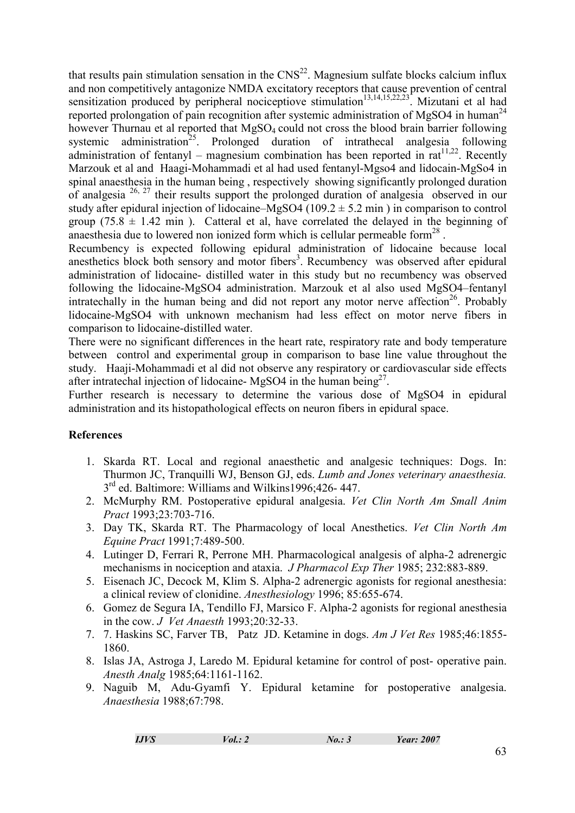that results pain stimulation sensation in the  $CNS<sup>22</sup>$ . Magnesium sulfate blocks calcium influx and non competitively antagonize NMDA excitatory receptors that cause prevention of central sensitization produced by peripheral nociceptiove stimulation<sup>13,14,15,22,23</sup>. Mizutani et al had reported prolongation of pain recognition after systemic administration of MgSO4 in human<sup>24</sup> however Thurnau et al reported that MgSO<sub>4</sub> could not cross the blood brain barrier following systemic administration<sup>25</sup>. Prolonged duration of intrathecal analgesia following administration of fentanyl – magnesium combination has been reported in  $rat^{11,22}$ . Recently Marzouk et al and Haagi-Mohammadi et al had used fentanyl-Mgso4 and lidocain-MgSo4 in spinal anaesthesia in the human being , respectively showing significantly prolonged duration of analgesia  $26$ ,  $27$  their results support the prolonged duration of analgesia observed in our study after epidural injection of lidocaine–MgSO4 (109.2  $\pm$  5.2 min) in comparison to control group (75.8  $\pm$  1.42 min). Catteral et al, have correlated the delayed in the beginning of anaesthesia due to lowered non ionized form which is cellular permeable form $^{28}$ .

Recumbency is expected following epidural administration of lidocaine because local anesthetics block both sensory and motor fibers<sup>3</sup>. Recumbency was observed after epidural administration of lidocaine- distilled water in this study but no recumbency was observed following the lidocaine-MgSO4 administration. Marzouk et al also used MgSO4–fentanyl intratechally in the human being and did not report any motor nerve affection<sup>26</sup>. Probably lidocaine-MgSO4 with unknown mechanism had less effect on motor nerve fibers in comparison to lidocaine-distilled water.

There were no significant differences in the heart rate, respiratory rate and body temperature between control and experimental group in comparison to base line value throughout the study. Haaji-Mohammadi et al did not observe any respiratory or cardiovascular side effects after intratechal injection of lidocaine- MgSO4 in the human being $2^7$ .

Further research is necessary to determine the various dose of MgSO4 in epidural administration and its histopathological effects on neuron fibers in epidural space.

#### **References**

- 1. Skarda RT. Local and regional anaesthetic and analgesic techniques: Dogs. In: Thurmon JC, Tranquilli WJ, Benson GJ, eds. Lumb and Jones veterinary anaesthesia. 3<sup>rd</sup> ed. Baltimore: Williams and Wilkins1996;426-447.
- 2. McMurphy RM. Postoperative epidural analgesia. Vet Clin North Am Small Anim Pract 1993;23:703-716.
- 3. Day TK, Skarda RT. The Pharmacology of local Anesthetics. Vet Clin North Am Equine Pract 1991;7:489-500.
- 4. Lutinger D, Ferrari R, Perrone MH. Pharmacological analgesis of alpha-2 adrenergic mechanisms in nociception and ataxia. J Pharmacol Exp Ther 1985; 232:883-889.
- 5. Eisenach JC, Decock M, Klim S. Alpha-2 adrenergic agonists for regional anesthesia: a clinical review of clonidine. Anesthesiology 1996; 85:655-674.
- 6. Gomez de Segura IA, Tendillo FJ, Marsico F. Alpha-2 agonists for regional anesthesia in the cow. J Vet Anaesth 1993;20:32-33.
- 7. 7. Haskins SC, Farver TB, Patz JD. Ketamine in dogs. Am J Vet Res 1985;46:1855- 1860.
- 8. Islas JA, Astroga J, Laredo M. Epidural ketamine for control of post- operative pain. Anesth Analg 1985;64:1161-1162.
- 9. Naguib M, Adu-Gyamfi Y. Epidural ketamine for postoperative analgesia. Anaesthesia 1988;67:798.

| IJVS | Vol.: 2 | No.: 3 | <b>Year: 2007</b> |
|------|---------|--------|-------------------|
|      |         |        |                   |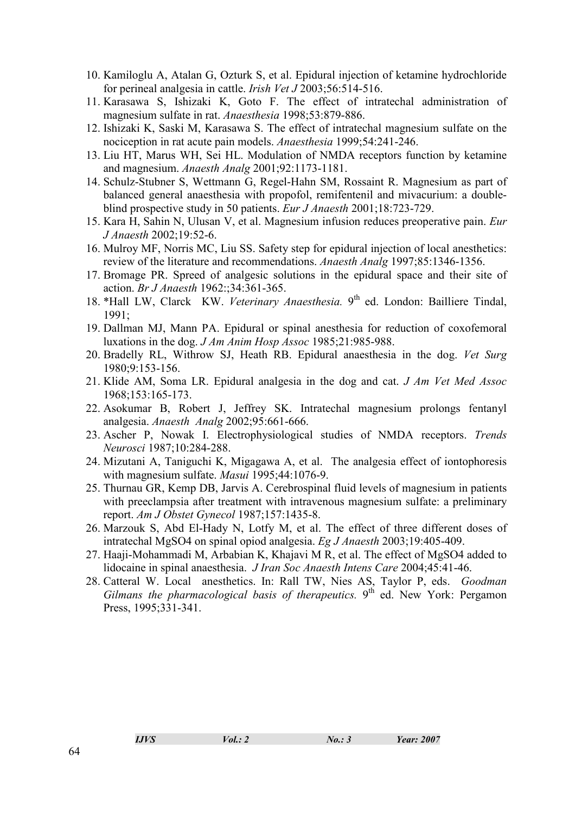- 10. Kamiloglu A, Atalan G, Ozturk S, et al. Epidural injection of ketamine hydrochloride for perineal analgesia in cattle. *Irish Vet J* 2003;56:514-516.
- 11. Karasawa S, Ishizaki K, Goto F. The effect of intratechal administration of magnesium sulfate in rat. Anaesthesia 1998;53:879-886.
- 12. Ishizaki K, Saski M, Karasawa S. The effect of intratechal magnesium sulfate on the nociception in rat acute pain models. Anaesthesia 1999;54:241-246.
- 13. Liu HT, Marus WH, Sei HL. Modulation of NMDA receptors function by ketamine and magnesium. Anaesth Analg 2001;92:1173-1181.
- 14. Schulz-Stubner S, Wettmann G, Regel-Hahn SM, Rossaint R. Magnesium as part of balanced general anaesthesia with propofol, remifentenil and mivacurium: a doubleblind prospective study in 50 patients. *Eur J Anaesth* 2001;18:723-729.
- 15. Kara H, Sahin N, Ulusan V, et al. Magnesium infusion reduces preoperative pain. Eur J Anaesth 2002;19:52-6.
- 16. Mulroy MF, Norris MC, Liu SS. Safety step for epidural injection of local anesthetics: review of the literature and recommendations. Anaesth Analg 1997;85:1346-1356.
- 17. Bromage PR. Spreed of analgesic solutions in the epidural space and their site of action. Br J Anaesth 1962:;34:361-365.
- 18. \*Hall LW, Clarck KW. Veterinary Anaesthesia. 9<sup>th</sup> ed. London: Bailliere Tindal, 1991;
- 19. Dallman MJ, Mann PA. Epidural or spinal anesthesia for reduction of coxofemoral luxations in the dog. J Am Anim Hosp Assoc 1985;21:985-988.
- 20. Bradelly RL, Withrow SJ, Heath RB. Epidural anaesthesia in the dog. Vet Surg 1980;9:153-156.
- 21. Klide AM, Soma LR. Epidural analgesia in the dog and cat. J Am Vet Med Assoc 1968;153:165-173.
- 22. Asokumar B, Robert J, Jeffrey SK. Intratechal magnesium prolongs fentanyl analgesia. Anaesth Analg 2002;95:661-666.
- 23. Ascher P, Nowak I. Electrophysiological studies of NMDA receptors. Trends Neurosci 1987;10:284-288.
- 24. Mizutani A, Taniguchi K, Migagawa A, et al. The analgesia effect of iontophoresis with magnesium sulfate. Masui 1995;44:1076-9.
- 25. Thurnau GR, Kemp DB, Jarvis A. Cerebrospinal fluid levels of magnesium in patients with preeclampsia after treatment with intravenous magnesium sulfate: a preliminary report. Am J Obstet Gynecol 1987;157:1435-8.
- 26. Marzouk S, Abd El-Hady N, Lotfy M, et al. The effect of three different doses of intratechal MgSO4 on spinal opiod analgesia. Eg J Anaesth 2003;19:405-409.
- 27. Haaji-Mohammadi M, Arbabian K, Khajavi M R, et al. The effect of MgSO4 added to lidocaine in spinal anaesthesia. *J Iran Soc Anaesth Intens Care* 2004;45:41-46.
- 28. Catteral W. Local anesthetics. In: Rall TW, Nies AS, Taylor P, eds. Goodman Gilmans the pharmacological basis of therapeutics.  $9<sup>th</sup>$  ed. New York: Pergamon Press, 1995;331-341.